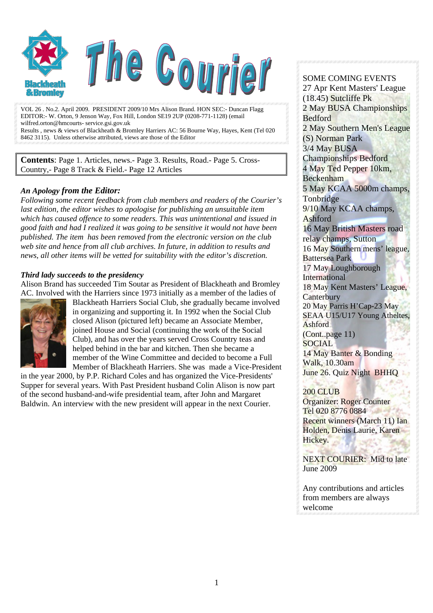

VOL 26 . No.2. April 2009. PRESIDENT 2009/10 Mrs Alison Brand. HON SEC:- Duncan Flagg EDITOR:- W. Orton, 9 Jenson Way, Fox Hill, London SE19 2UP (0208-771-1128) (email wilfred.orton@hmcourts- service.gsi.gov.uk Results , news & views of Blackheath & Bromley Harriers AC: 56 Bourne Way, Hayes, Kent (Tel 020 8462 3115). Unless otherwise attributed, views are those of the Editor

**Contents**: Page 1. Articles, news.- Page 3. Results, Road.- Page 5. Cross-Country,- Page 8 Track & Field.- Page 12 Articles

#### *An Apology from the Editor:*

*Following some recent feedback from club members and readers of the Courier's last edition, the editor wishes to apologise for publishing an unsuitable item which has caused offence to some readers. This was unintentional and issued in good faith and had I realized it was going to be sensitive it would not have been published. The item has been removed from the electronic version on the club web site and hence from all club archives. In future, in addition to results and news, all other items will be vetted for suitability with the editor's discretion.* 

#### *Third lady succeeds to the presidency*

Alison Brand has succeeded Tim Soutar as President of Blackheath and Bromley AC. Involved with the Harriers since 1973 initially as a member of the ladies of



Blackheath Harriers Social Club, she gradually became involved in organizing and supporting it. In 1992 when the Social Club closed Alison (pictured left) became an Associate Member, joined House and Social (continuing the work of the Social Club), and has over the years served Cross Country teas and helped behind in the bar and kitchen. Then she became a member of the Wine Committee and decided to become a Full Member of Blackheath Harriers. She was made a Vice-President

in the year 2000, by P.P. Richard Coles and has organized the Vice-Presidents' Supper for several years. With Past President husband Colin Alison is now part of the second husband-and-wife presidential team, after John and Margaret Baldwin. An interview with the new president will appear in the next Courier.

#### SOME COMING EVENTS 27 Apr Kent Masters' League (18.45) Sutcliffe Pk 2 May BUSA Championships Bedford 2 May Southern Men's League (S) Norman Park 3/4 May BUSA Championships Bedford 4 May Ted Pepper 10km, Beckenham 5 May KCAA 5000m champs, **Tonbridge** 9/10 May KCAA champs, Ashford 16 May British Masters road relay champs, Sutton 16 May Southern mens' league, Battersea Park 17 May Loughborough International 18 May Kent Masters' League, **Canterbury** 20 May Parris H'Cap-23 May SEAA U15/U17 Young Atheltes, Ashford (Cont..page 11) SOCIAL 14 May Banter & Bonding

Walk, 10.30am June 26. Quiz Night BHHQ

#### 200 CLUB

Organizer: Roger Counter Tel 020 8776 0884 Recent winners (March 11) Ian Holden, Denis Laurie, Karen Hickey.

NEXT COURIER: Mid to late June 2009

Any contributions and articles from members are always welcome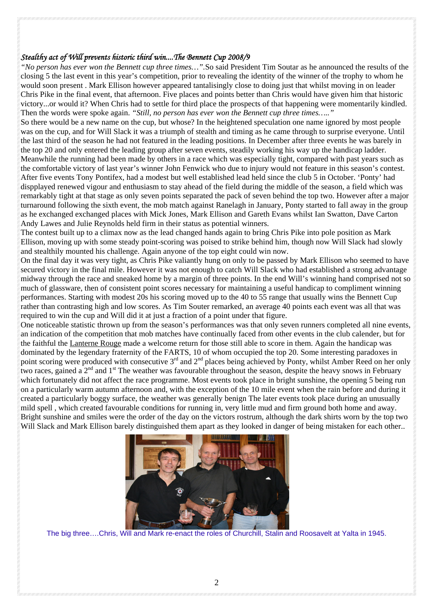#### *Stealthy act of Will prevents historic third win....The Bennett Cup 2008/9*

*"No person has ever won the Bennett cup three times…".*So said President Tim Soutar as he announced the results of the closing 5 the last event in this year's competition, prior to revealing the identity of the winner of the trophy to whom he would soon present . Mark Ellison however appeared tantalisingly close to doing just that whilst moving in on leader Chris Pike in the final event, that afternoon. Five places and points better than Chris would have given him that historic victory...or would it? When Chris had to settle for third place the prospects of that happening were momentarily kindled. Then the words were spoke again. *"Still, no person has ever won the Bennett cup three times….."* 

So there would be a new name on the cup, but whose? In the heightened speculation one name ignored by most people was on the cup, and for Will Slack it was a triumph of stealth and timing as he came through to surprise everyone. Until the last third of the season he had not featured in the leading positions. In December after three events he was barely in the top 20 and only entered the leading group after seven events, steadily working his way up the handicap ladder. Meanwhile the running had been made by others in a race which was especially tight, compared with past years such as the comfortable victory of last year's winner John Fenwick who due to injury would not feature in this season's contest. After five events Tony Pontifex, had a modest but well established lead held since the club 5 in October. 'Ponty' had dispplayed renewed vigour and enthusiasm to stay ahead of the field during the middle of the season, a field which was remarkably tight at that stage as only seven points separated the pack of seven behind the top two. However after a major turnaround following the sixth event, the mob match against Ranelagh in January, Ponty started to fall away in the group as he exchanged exchanged places with Mick Jones, Mark Ellison and Gareth Evans whilst Ian Swatton, Dave Carton Andy Lawes and Julie Reynolds held firm in their status as potential winners.

The contest built up to a climax now as the lead changed hands again to bring Chris Pike into pole position as Mark Ellison, moving up with some steady point-scoring was poised to strike behind him, though now Will Slack had slowly and stealthily mounted his challenge. Again anyone of the top eight could win now.

On the final day it was very tight, as Chris Pike valiantly hung on only to be passed by Mark Ellison who seemed to have secured victory in the final mile. However it was not enough to catch Will Slack who had established a strong advantage midway through the race and sneaked home by a margin of three points. In the end Will's winning hand comprised not so much of glassware, then of consistent point scores necessary for maintaining a useful handicap to compliment winning performances. Starting with modest 20s his scoring moved up to the 40 to 55 range that usually wins the Bennett Cup rather than contrasting high and low scores. As Tim Souter remarked, an average 40 points each event was all that was required to win the cup and Will did it at just a fraction of a point under that figure.

One noticeable statistic thrown up from the season's performances was that only seven runners completed all nine events, an indication of the competition that mob matches have continually faced from other events in the club calender, but for the faithful the Lanterne Rouge made a welcome return for those still able to score in them. Again the handicap was dominated by the legendary fraternity of the FARTS, 10 of whom occupied the top 20. Some interesting paradoxes in point scoring were produced with consecutive 3<sup>rd</sup> and 2<sup>nd</sup> places being achieved by Ponty, whilst Amber Reed on her only two races, gained a  $2<sup>nd</sup>$  and  $1<sup>st</sup>$  The weather was favourable throughout the season, despite the heavy snows in February which fortunately did not affect the race programme. Most events took place in bright sunshine, the opening 5 being run on a particularly warm autumn afternoon and, with the exception of the 10 mile event when the rain before and during it created a particularly boggy surface, the weather was generally benign The later events took place during an unusually mild spell , which created favourable conditions for running in, very little mud and firm ground both home and away. Bright sunshine and smiles were the order of the day on the victors rostrum, although the dark shirts worn by the top two Will Slack and Mark Ellison barely distinguished them apart as they looked in danger of being mistaken for each other..



The big three….Chris, Will and Mark re-enact the roles of Churchill, Stalin and Roosavelt at Yalta in 1945.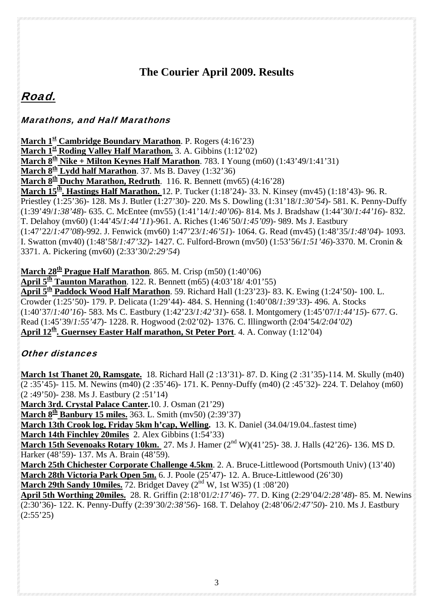# **The Courier April 2009. Results**

# Road.

# Marathons, and Half Marathons

**March 1<sup>st</sup> Cambridge Boundary Marathon**. P. Rogers (4:16'23) **March 1<sup>st</sup> Roding Valley Half Marathon.** 3. A. Gibbins (1:12'02) **March**  $8^{\underline{th}}$  **Nike + Milton Keynes Half Marathon.** 783. I Young (m60) (1:43'49/1:41'31) **March**  $8^{\underline{th}}$  **Lydd half Marathon.** 37. Ms B. Davey  $(1:32'36)$ **March**  $8<sup>th</sup>$  **Duchy Marathon, Redruth.** 116, R. Bennett (mv65) (4:16'28) **March 15th. Hastings Half Marathon.** 12. P. Tucker (1:18'24)- 33. N. Kinsey (mv45) (1:18'43)- 96. R. Priestley (1:25'36)- 128. Ms J. Butler (1:27'30)- 220. Ms S. Dowling (1:31'18/*1:30'54*)- 581. K. Penny-Duffy (1:39'49/*1:38'48*)- 635. C. McEntee (mv55) (1:41'14/*1:40'06*)- 814. Ms J. Bradshaw (1:44'30/*1:44'16*)- 832. T. Delahoy (mv60) (1:44'45/*1:44'11*)-961. A. Riches (1:46'50/*1:45'09*)- 989. Ms J. Eastbury (1:47'22/*1:47'08*)-992. J. Fenwick (mv60) 1:47'23/*1:46'51*)- 1064. G. Read (mv45) (1:48'35/*1:48'04*)- 1093. I. Swatton (mv40) (1:48'58/*1:47'32*)- 1427. C. Fulford-Brown (mv50) (1:53'56/*1:51'46*)-3370. M. Cronin & 3371. A. Pickering (mv60) (2:33'30/*2:29'54*)

**March 28<sup>th</sup> Prague Half Marathon**. 865. M. Crisp (m50) (1:40'06)

**April**  $5^{\text{th}}$  **Taunton Marathon.** 122. R. Bennett (m65) (4:03'18/ 4:01'55)

**April 5th Paddock Wood Half Marathon**. 59. Richard Hall (1:23'23)- 83. K. Ewing (1:24'50)- 100. L. Crowder (1:25'50)- 179. P. Delicata (1:29'44)- 484. S. Henning (1:40'08/*1:39'33*)- 496. A. Stocks (1:40'37/*1:40'16*)- 583. Ms C. Eastbury (1:42'23/*1:42'31*)- 658. I. Montgomery (1:45'07/*1:44'15*)- 677. G. Read (1:45'39/*1:55'47*)- 1228. R. Hogwood (2:02'02)- 1376. C. Illingworth (2:04'54/*2:04'02*) April 12<sup>th</sup>. Guernsey Easter Half marathon, St Peter Port. 4. A. Conway (1:12'04)

# Other distances

**March 1st Thanet 20, Ramsgate.** 18. Richard Hall (2 :13'31)- 87. D. King (2 :31'35)-114. M. Skully (m40) (2 :35'45)- 115. M. Newins (m40) (2 :35'46)- 171. K. Penny-Duffy (m40) (2 :45'32)- 224. T. Delahoy (m60) (2 :49'50)- 238. Ms J. Eastbury (2 :51'14)

**March 3rd. Crystal Palace Canter.**10. J. Osman (21'29)

**March**  $8^{th}$  **Banbury 15 miles.** 363. L. Smith (mv50) (2:39'37)

**March 13th Crook log, Friday 5km h'cap, Welling.** 13. K. Daniel (34.04/19.04..fastest time)

**March 14th Finchley 20miles** 2. Alex Gibbins (1:54'33)

**March 15th Sevenoaks Rotary 10km.** 27. Ms J. Hamer (2<sup>nd</sup> W)(41'25)- 38. J. Halls (42'26)- 136. MS D. Harker (48'59)- 137. Ms A. Brain (48'59).

**March 25th Chichester Corporate Challenge 4.5km**. 2. A. Bruce-Littlewood (Portsmouth Univ) (13'40) **March 28th Victoria Park Open 5m.** 6. J. Poole (25'47)- 12. A. Bruce-Littlewood (26'30)

**March 29th Sandy 10miles.** 72. Bridget Davey  $(2^{nd} W, 1st W35)$   $(1:08'20)$ 

**April 5th Worthing 20miles.** 28. R. Griffin (2:18'01/*2:17'46*)- 77. D. King (2:29'04/*2:28'48*)- 85. M. Newins (2:30'36)- 122. K. Penny-Duffy (2:39'30/*2:38'56*)- 168. T. Delahoy (2:48'06/*2:47'50*)- 210. Ms J. Eastbury  $(2:55'25)$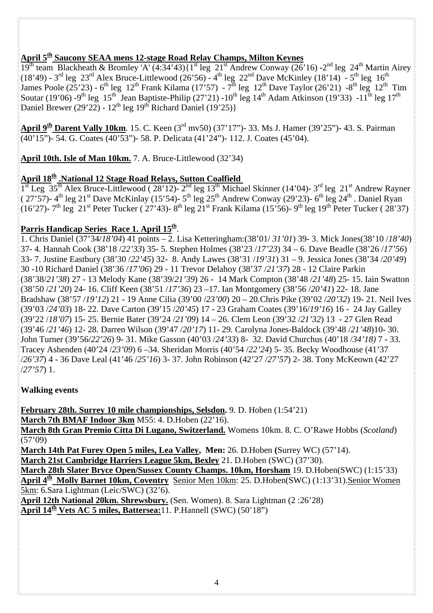# **April 5th Saucony SEAA mens 12-stage Road Relay Champs, Milton Keynes**

19<sup>th</sup> team Blackheath & Bromley 'A' (4:34'43){1<sup>st</sup> leg 21<sup>st</sup> Andrew Conway (26'16) -2<sup>nd</sup> leg 24<sup>th</sup> Martin Airey (18'49) - 3<sup>rd</sup> leg 23<sup>rd</sup> Alex Bruce-Littlewood (26'56) - 4<sup>th</sup> leg 22<sup>nd</sup> Dave McKinley (18'14) - 5<sup>th</sup> leg 16<sup>th</sup> James Poole (25'23) - 6<sup>th</sup> leg 12<sup>th</sup> Frank Kilama (17'57) - 7<sup>th</sup> leg 12<sup>th</sup> Dave Taylor (26'21) -8<sup>th</sup> leg 12<sup>th</sup> Tim Soutar (19'06) -9<sup>th</sup> leg 15<sup>th</sup> Jean Baptiste-Philip (27'21) -10<sup>th</sup> leg 14<sup>th</sup> Adam Atkinson (19'33) -11<sup>th</sup> leg 17<sup>th</sup> Daniel Brewer (29'22) -  $12^{th}$  leg  $19^{th}$  Richard Daniel (19'25)}

**April 9th Darent Vally 10km**. 15. C. Keen (3rd mv50) (37'17")- 33. Ms J. Hamer (39'25")- 43. S. Pairman (40'15")- 54. G. Coates (40'53")- 58. P. Delicata (41'24")- 112. J. Coates (45'04).

**April 10th. Isle of Man 10km.** 7. A. Bruce-Littlewood (32'34)

### **April 18<sup>th</sup> .National 12 Stage Road Relays, Sutton Coalfield**

 $1<sup>st</sup>$  Leg 35<sup>th</sup> Alex Bruce-Littlewood ( 28'12)-  $2<sup>nd</sup>$  leg 13<sup>th</sup> Michael Skinner (14'04)- 3<sup>rd</sup> leg 21<sup>st</sup> Andrew Rayner ( 27'57)- 4<sup>th</sup> leg 21<sup>st</sup> Dave McKinlay (15'54)- 5<sup>th</sup> leg 25<sup>th</sup> Andrew Conway (29'23)- 6<sup>th</sup> leg 24<sup>th</sup> . Daniel Ryan (16'27)- 7<sup>th</sup> leg 21<sup>st</sup> Peter Tucker ( 27'43)- 8<sup>th</sup> leg 21<sup>st</sup> Frank Kilama (15'56)- 9<sup>th</sup> leg 19<sup>th</sup> Peter Tucker ( 28'37)

#### Parris Handicap Series Race 1. April 15<sup>th</sup>.

1. Chris Daniel (37'34/*18'04*) 41 points – 2. Lisa Ketteringham:(38'01/ *31'01*) 39- 3. Mick Jones(38'10 /*18'40*) 37- 4. Hannah Cook (38'18 /*22'33*) 35- 5. Stephen Holmes (38'23 /*17'23*) 34 – 6. Dave Beadle (38'26 /*17'56*) 33- 7. Justine Eastbury (38'30 /*22'45*) 32- 8. Andy Lawes (38'31 /*19'31*) 31 – 9. Jessica Jones (38'34 /*20'49*) 30 -10 Richard Daniel (38'36 /*17'06*) 29 - 11 Trevor Delahoy (38'37 /*21'37*) 28 - 12 Claire Parkin (38'38/*21'38*) 27 - 13 Melody Kane (38'39/*21'39*) 26 - 14 Mark Compton (38'48 /*21'48*) 25- 15. Iain Swatton (38'50 /*21'20*) 24- 16. Cliff Keen (38'51 /*17'36*) 23 –17. Ian Montgomery (38'56 /*20'41*) 22- 18. Jane Bradshaw (38'57 /*19'12*) 21 - 19 Anne Cilia (39'00 /*23'00*) 20 – 20.Chris Pike (39'02 /*20'32*) 19- 21. Neil Ives (39'03 /*24'03*) 18- 22. Dave Carton (39'15 /*20'45*) 17 - 23 Graham Coates (39'16/*19'16*) 16 - 24 Jay Galley (39'22 /*18'07*) 15- 25. Bernie Bater (39'24 /*21'09*) 14 – 26. Clem Leon (39'32 /*21'32*) 13 - 27 Glen Read (39'46 /*21'46*) 12- 28. Darren Wilson (39'47 /*20'17*) 11- 29. Carolyna Jones-Baldock (39'48 /*21'48*)10- 30. John Turner (39'56/*22'26*) 9- 31. Mike Gasson (40'03 /*24'33*) 8- 32. David Churchus (40'18 /*34'18)* 7 - 33. Tracey Ashenden (40'24 /*23'09*) 6 –34. Sheridan Morris (40'54 /*22'24*) 5- 35. Becky Woodhouse (41'37 /*26'37*) 4 - 36 Dave Leal (41'46 /*25'16*) 3- 37. John Robinson (42'27 /*27'57*) 2- 38. Tony McKeown (42'27 /*27'57*) 1.

#### **Walking events**

**February 28th. Surrey 10 mile championships, Selsdon.** 9. D. Hoben (1:54'21) **March 7th BMAF Indoor 3km** M55: 4. D.Hoben (22'16). **March 8th Gran Premio Citta Di Lugano, Switzerland.** Womens 10km. 8. C. O'Rawe Hobbs (*Scotland*) (57'09)

**March 14th Pat Furey Open 5 miles, Lea Valley, Men:** 26. D.Hoben **(**Surrey WC) (57'14). **March 21st Cambridge Harriers League 5km, Bexley** 21. D.Hoben (SWC) (37'30).

**March 28th Slater Bryce Open/Sussex County Champs. 10km, Horsham** 19. D.Hoben(SWC) (1:15'33) **April 4th Molly Barnet 10km, Coventry** Senior Men 10km: 25. D.Hoben(SWC) (1:13'31).Senior Women 5km: 6.Sara Lightman (Leic/SWC) (32'6).

**April 12th National 20km. Shrewsbury.** (Sen. Women). 8. Sara Lightman (2 :26'28) **April 14<sup>th</sup> Vets AC 5 miles, Battersea: 11. P. Hannell (SWC) (50'18")**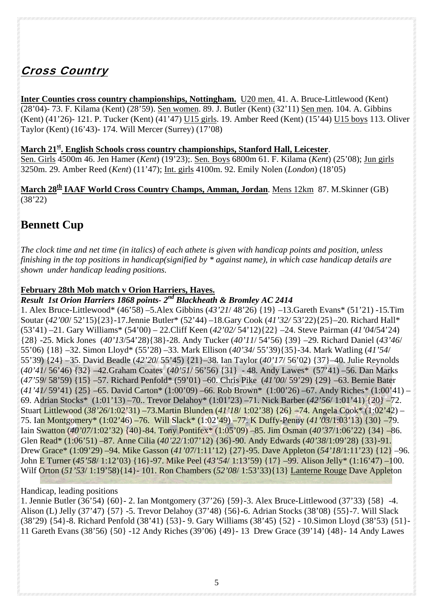# Cross Country

**Inter Counties cross country championships, Nottingham.** U20 men. 41. A. Bruce-Littlewood (Kent) (28'04)- 73. F. Kilama (Kent) (28'59). Sen women. 89. J. Butler (Kent) (32'11) Sen men. 104. A. Gibbins (Kent) (41'26)- 121. P. Tucker (Kent) (41'47) U15 girls. 19. Amber Reed (Kent) (15'44) U15 boys 113. Oliver Taylor (Kent) (16'43)- 174. Will Mercer (Surrey) (17'08)

#### **March 21st. English Schools cross country championships, Stanford Hall, Leicester**.

Sen. Girls 4500m 46. Jen Hamer (*Kent*) (19'23);. Sen. Boys 6800m 61. F. Kilama (*Kent*) (25'08); Jun girls 3250m. 29. Amber Reed (*Kent*) (11'47); Int. girls 4100m. 92. Emily Nolen (*London*) (18'05)

**March 28th IAAF World Cross Country Champs, Amman, Jordan**. Mens 12km 87. M.Skinner (GB) (38'22)

# **Bennett Cup**

*The clock time and net time (in italics) of each athete is given with handicap points and position, unless finishing in the top positions in handicap(signified by \* against name), in which case handicap details are shown under handicap leading positions.* 

#### **February 28th Mob match v Orion Harriers, Hayes.**

# *Result 1st Orion Harriers 1868 points- 2nd Blackheath & Bromley AC 2414*

1. Alex Bruce-Littlewood\* (46'58) –5.Alex Gibbins (*43'21*/ 48'26) {19} –13.Gareth Evans\* (51'21) -15.Tim Soutar (*42'00*/ 52'15){23}-17.Jennie Butler\* (52'44) –18.Gary Cook (*41'32/* 53'22){25}–20. Richard Hall\* (53'41) –21. Gary Williams\* (54'00) – 22.Cliff Keen (*42'02/* 54'12){22} –24. Steve Pairman (*41'04*/54'24) {28} -25. Mick Jones (*40'13*/54'28){38}-28. Andy Tucker (*40'11*/ 54'56) {39} –29. Richard Daniel (*43'46*/ 55'06) {18} –32. Simon Lloyd\* (55'28) –33. Mark Ellison (*40'34*/ 55'39){35}-34. Mark Watling (*41'54*/ 55'39) {24} –35. David Beadle (*42'20*/ 55'45) {21}–38. Ian Taylor (*40'17*/ 56'02) {37}–40. Julie Reynolds (*40'41*/ 56'46) {32} –42.Graham Coates (*40'51*/ 56'56) {31} - 48. Andy Lawes\* (57'41) –56. Dan Marks (*47'59*/ 58'59) {15} –57. Richard Penfold\* (59'01) –60. Chris Pike (*41'00*/ 59'29) {29} –63. Bernie Bater (*41'41/* 59'41) {25} –65. David Carton\* (1:00'09) –66. Rob Brown\* (1:00'26) –67. Andy Riches\* (1:00'41) – 69. Adrian Stocks\* (1:01'13) –70.. Trevor Delahoy\* (1:01'23) –71. Nick Barber (*42'56*/ 1:01'41) {20} –72. Stuart Littlewood (*38'26*/1:02'31) –73.Martin Blunden (*41'18*/ 1:02'38) {26} –74. Angela Cook\* (1:02'42) – 75. Ian Montgomery\* (1:02'46) –76. Will Slack\* (1:02'49) –77. K Duffy-Penny (*41'03*/1:03'13) {30} –79. Iain Swatton (*40'07*/1:02'32) {40}-84. Tony Pontifex\* (1:05'09) –85. Jim Osman (*40'37*/1:06'22) {34} –86. Glen Read\* (1:06'51) –87. Anne Cilia (*40'22*/1:07'12) {36}-90. Andy Edwards (*40'38*/1:09'28) {33}-91. Drew Grace\* (1:09'29) –94. Mike Gasson (*41'07*/1:11'12) {27}-95. Dave Appleton (*54'18*/1:11'23) {12} –96. John E Turner (*45'58*/ 1:12'03) {16}-97. Mike Peel (*43'54*/ 1:13'59) {17} –99. Alison Jelly\* (1:16'47) –100. Wilf Orton (*51'53*/ 1:19'58){14}- 101. Ron Chambers (*52'08*/ 1:53'33){13} Lanterne Rouge Dave Appleton

#### Handicap, leading positions

1. Jennie Butler (36'54) {60}- 2. Ian Montgomery (37'26) {59}-3. Alex Bruce-Littlewood (37'33) {58} -4. Alison (L) Jelly (37'47) {57} -5. Trevor Delahoy (37'48) {56}-6. Adrian Stocks (38'08) {55}-7. Will Slack (38'29) {54}-8. Richard Penfold (38'41) {53}- 9. Gary Williams (38'45) {52} - 10.Simon Lloyd (38'53) {51}- 11 Gareth Evans (38'56) {50} -12 Andy Riches (39'06) {49}- 13 Drew Grace (39'14) {48}- 14 Andy Lawes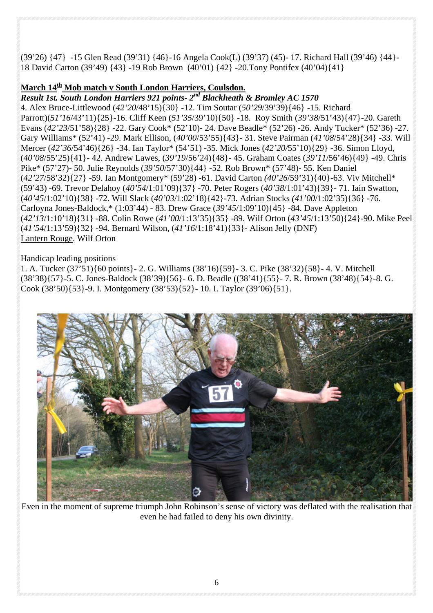(39'26) {47} -15 Glen Read (39'31) {46}-16 Angela Cook(L) (39'37) (45)- 17. Richard Hall (39'46) {44}- 18 David Carton (39'49) {43} -19 Rob Brown (40'01) {42} -20.Tony Pontifex (40'04){41}

#### **March 14th Mob match v South London Harriers, Coulsdon.**

*Result 1st. South London Harriers 921 points- 2nd Blackheath & Bromley AC 1570*  4. Alex Bruce-Littlewood (*42'20*/48'15){30} -12. Tim Soutar (*50'29*/39'39){46} -15. Richard Parrott)(*51'16*/43'11){25}-16. Cliff Keen (*51'35*/39'10){50} -18. Roy Smith (*39'38*/51'43){47}-20. Gareth Evans (*42'23*/51'58){28} -22. Gary Cook\* (52'10)- 24. Dave Beadle\* (52'26) -26. Andy Tucker\* (52'36) -27. Gary Williams\* (52'41) -29. Mark Ellison, (*40'00*/53'55){43}- 31. Steve Pairman (*41'08*/54'28){34} -33. Will Mercer (*42'36*/54'46){26} -34. Ian Taylor\* (54'51) -35. Mick Jones (*42'20/*55'10){29} -36. Simon Lloyd, (*40'08*/55'25){41}- 42. Andrew Lawes, (*39'19*/56'24){48}- 45. Graham Coates (*39'11*/56'46){49} -49. Chris Pike\* (57'27)- 50. Julie Reynolds (*39'50*/57'30){44} -52. Rob Brown\* (57'48)- 55. Ken Daniel (*42'27*/58'32){27} -59. Ian Montgomery\* (59'28) -61. David Carton *(40'26*/59'31){40}-63. Viv Mitchell\* (59'43) -69. Trevor Delahoy (*40'54*/1:01'09){37} -70. Peter Rogers (*40'38*/1:01'43){39}- 71. Iain Swatton, (*40'45*/1:02'10){38} -72. Will Slack (*40'03*/1:02'18){42}-73. Adrian Stocks *(41'00*/1:02'35){36} -76. Carloyna Jones-Baldock,\* (1:03'44) - 83. Drew Grace (*39'45*/1:09'10){45} -84. Dave Appleton (*42'13*/1:10'18){31} -88. Colin Rowe (*41'00*/1:13'35){35} -89. Wilf Orton (*43'45*/1:13'50){24}-90. Mike Peel (*41'54*/1:13'59){32} -94. Bernard Wilson, (*41'16*/1:18'41){33}- Alison Jelly (DNF) Lantern Rouge. Wilf Orton

#### Handicap leading positions

1. A. Tucker (37'51){60 points}- 2. G. Williams (38'16){59}- 3. C. Pike (38'32){58}- 4. V. Mitchell (38'38){57}-5. C. Jones-Baldock (38'39){56}- 6. D. Beadle ((38'41){55}- 7. R. Brown (38'48){54}-8. G. Cook (38'50){53}-9. I. Montgomery (38'53){52}- 10. I. Taylor (39'06){51}.



Even in the moment of supreme triumph John Robinson's sense of victory was deflated with the realisation that even he had failed to deny his own divinity.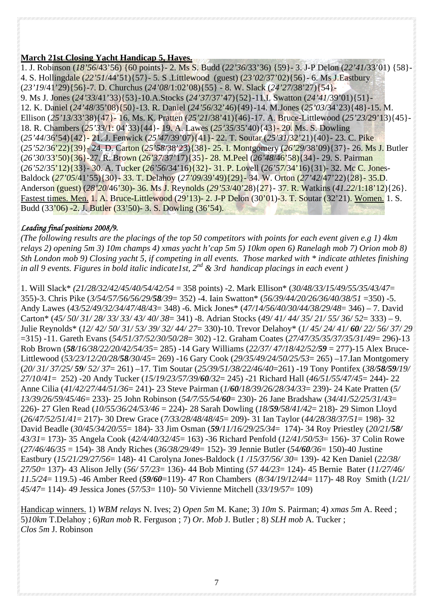#### **March 21st Closing Yacht Handicap 5, Hayes.**

1. J. Robinson (*18'56*/43'56) {60 points}- 2. Ms S. Budd (*22'36*/33'36) {59}- 3. J-P Delon (*22'41*/33'01) {58}- 4. S. Hollingdale (*22'51*/44'51){57}- 5. S .Littlewood (guest) (*23'02*/37'02){56}- 6. Ms J.Eastbury (*23'19*/41'29){56}-7. D. Churchus (*24'08*/1:02'08){55} - 8. W. Slack (*24'27*/38'27){54}- 9. Ms J. Jones (*24'33*/41'33){53}-10.A.Stocks (*24'37*/37'47){52}-11.I. Swatton (*24'41*/39'01){51}- 12. K. Daniel (*24'48*/35'08){50}-13. R. Daniel (*24'56*/32'46){49}-14. M.Jones (*25'03*/34'23){48}-15. M. Ellison (*25'13*/33'38){47}- 16. Ms. K. Pratten (*25'21*/38'41){46}-17. A. Bruce-Littlewood (*25'23*/29'13){45}- 18. R. Chambers (*25'33*/1: 04'33){44}- 19. A. Lawes (*25'35*/35'40){43}- 20. Ms. S. Dowling (*25'44*/36'54){42}- 21. J. Fenwick (*25'47*/39'07){41}- 22. T. Soutar (*25'31*/32'21){40}- 23. C. Pike (*25'52*/36'22){39}- 24. D. Carton (*25'58*/38'23){38}- 25. I. Montgomery (*26'29*/38'09){37}- 26. Ms J. Butler (*26'30*/33'50){36}-27. R. Brown (*26'37*/37'17){35}- 28. M.Peel (*26'48*/46'58){34}- 29. S. Pairman (*26'52*/35'12){33}- 30. A. Tucker (*26'56*/34'16){32}- 31. P. Lovell (*26'57*/34'16){31)- 32. Mc C. Jones-Baldock (*27'05*/41'55){30}- 33. T. Delahoy (*27'09*/39'49){29}- 34. W. Orton (*27'42*/47'22){28}- 35.D. Anderson (guest) (*28'20*/46'30)- 36. Ms J. Reynolds (*29'53*/40'28){27}- 37. R. Watkins (*41.22*/1:18'12){26}. Fastest times. Men. 1. A. Bruce-Littlewood (29'13)- 2. J-P Delon (30'01)-3. T. Soutar (32'21). Women. 1. S. Budd (33'06) -2. J. Butler (33'50)- 3. S. Dowling (36'54).

#### *Leading final positions 2008/9.*

*(The following results are the placings of the top 50 competitors with points for each event given e.g 1) 4km relays 2) opening 5m 3) 10m champs 4) xmas yacht h'cap 5m 5) 10km open 6) Ranelagh mob 7) Orion mob 8) Sth London mob 9) Closing yacht 5, if competing in all events. Those marked with \* indicate athletes finishing in all 9 events. Figures in bold italic indicate1st, 2nd & 3rd handicap placings in each event )*

1. Will Slack\* *(21/28/32/42/45/40/54/42/54* = 358 points) -2. Mark Ellison\* (*30/48/33/15/49/55/35/43/47*= 355)-3. Chris Pike (*3/54/57/56/56/29/58/39*= 352) -4. Iain Swatton\* (*56/39/44/20/26/36/40/38/51* =350) -5. Andy Lawes (*43/52/49/32/34/47/48/43*= 348) -6. Mick Jones\* (*47/14/56/40/30/44/38/29/48*= 346) – 7. David Carton\* (*45/ 50/ 31/ 28/ 33/ 33/ 43/ 40/ 38*= 341) -8. Adrian Stocks (*49/ 41/ 44/ 35/ 21/ 55/ 36/ 52*= 333) – 9. Julie Reynolds\* (*12/ 42/ 50/ 31/ 53/ 39/ 32/ 44/ 27*= 330)-10. Trevor Delahoy\* (*1/ 45/ 24/ 41/ 60/ 22/ 56/ 37/ 29*  =315) -11. Gareth Evans (*54/51/37/52/30/50/28*= 302) -12. Graham Coates (*27/47/35/35/37/35/31/49*= 296)-13 Rob Brown (*58/16/38/22/20/42/54/35*= 285) -14 Gary Williams (*22/37/ 47/18/42/52/59* = 277)-15 Alex Bruce-Littlewood (*53/23/12/20/28/58/30/45*= 269) -16 Gary Cook (*29/35/49/24/50/25/53*= 265) –17.Ian Montgomery (*20/ 31/ 37/25/ 59/ 52/ 37*= 261) –17. Tim Soutar (*25/39/51/38/22/46/40*=261) -19 Tony Pontifex (*38/58/59/19/ 27/10/41*= 252) -20 Andy Tucker (*15/19/23/57/39/60/32*= 245) -21 Richard Hall (*46/51/55/47/45*= 244)- 22 Anne Cilia (*41/42/27/44/51/36*= 241)- 23 Steve Pairman (*1/60/18/39/26/28/34/33*= 239)- 24 Kate Pratten (*5/ 13/39/26/59/45/46*= 233)- 25 John Robinson (*54/7/55/54/60*= 230)- 26 Jane Bradshaw (*34/41/52/25/31/43*= 226)- 27 Glen Read (*10/55/36/24/53/46* = 224)- 28 Sarah Dowling (*18/59/58/41/42*= 218)- 29 Simon Lloyd (*26/47/52/51/41*= 217)- 30 Drew Grace (*7/33/28/48/48/45*= 209)- 31 Ian Taylor (*44/28/38/37/51*= 198)- 32 David Beadle (*30/45/34/20/55*= 184)- 33 Jim Osman (*59/11/16/29/25/34*= 174)- 34 Roy Priestley (*20/21/58/ 43/31*= 173)- 35 Angela Cook (*42/4/40/32/45*= 163) -36 Richard Penfold (*12/41/50/53*= 156)- 37 Colin Rowe (*27/46/46/35* = 154)- 38 Andy Riches (*36/38/29/49*= 152)- 39 Jennie Butler (*54/60/36*= 150)-40 Justine Eastbury (*15/21/29/27/56*= 148)- 41 Carolyna Jones-Baldock (*1 /15/37/56/ 30*= 139)- 42 Ken Daniel (*22/38/ 27/50*= 137)- 43 Alison Jelly (*56/ 57/23*= 136)- 44 Bob Minting (*57 44/23*= 124)- 45 Bernie Bater (*11/27/46/ 11.5/24*= 119.5) -46 Amber Reed (*59/60*=119)- 47 Ron Chambers (*8/34/19/12/44*= 117)- 48 Roy Smith (*1/21/ 45/47*= 114)- 49 Jessica Jones (*57/53*= 110)- 50 Vivienne Mitchell (*33/19/57*= 109)

Handicap winners. 1) *WBM relays* N. Ives; 2) *Open 5m* M. Kane; 3) *10m* S. Pairman; 4) *xmas 5m* A. Reed ; 5)*10km* T.Delahoy ; 6)*Ran mob* R. Ferguson ; 7) *Or. Mob* J. Butler ; 8) *SLH mob* A. Tucker ; *Clos 5m* J. Robinson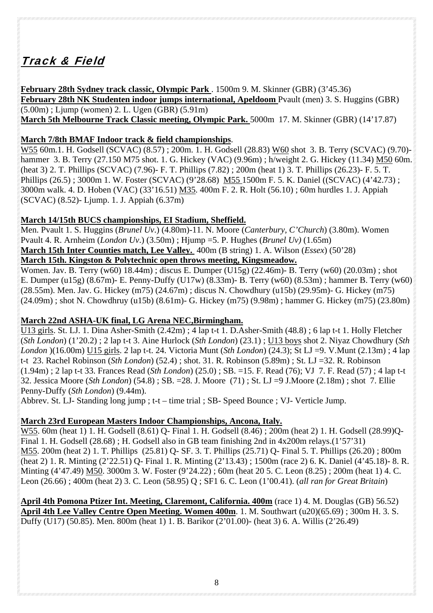# Track & Field

**February 28th Sydney track classic, Olympic Park** . 1500m 9. M. Skinner (GBR) (3'45.36) **February 28th NK Studenten indoor jumps international, Apeldoom** Pvault (men) 3. S. Huggins (GBR)  $(5.00m)$ ; Ljump (women) 2. L. Ugen (GBR)  $(5.91m)$ **March 5th Melbourne Track Classic meeting, Olympic Park.** 5000m 17. M. Skinner (GBR) (14'17.87)

### **March 7/8th BMAF Indoor track & field championships**.

W55 60m.1. H. Godsell (SCVAC) (8.57) ; 200m. 1. H. Godsell (28.83) W60 shot 3. B. Terry (SCVAC) (9.70) hammer 3. B. Terry (27.150 M75 shot. 1. G. Hickey (VAC) (9.96m) ; h/weight 2. G. Hickey (11.34) M50 60m. (heat 3) 2. T. Phillips (SCVAC) (7.96)- F. T. Phillips (7.82) ; 200m (heat 1) 3. T. Phillips (26.23)- F. 5. T. Phillips (26.5) ; 3000m 1. W. Foster (SCVAC) (9'28.68) M55 1500m F. 5. K. Daniel ((SCVAC) (4'42.73) ; 3000m walk. 4. D. Hoben (VAC) (33'16.51) M35. 400m F. 2. R. Holt (56.10) ; 60m hurdles 1. J. Appiah (SCVAC) (8.52)- Ljump. 1. J. Appiah (6.37m)

## **March 14/15th BUCS championships, EI Stadium, Sheffield.**

Men. Pvault 1. S. Huggins (*Brunel Uv*.) (4.80m)-11. N. Moore (*Canterbury, C'Church*) (3.80m). Women Pvault 4. R. Arnheim (*London Uv*.) (3.50m) ; Hjump =5. P. Hughes (*Brunel Uv)* (1.65m) **March 15th Inter Counties match, Lee Valley.** 400m (B string) 1. A. Wilson (*Essex*) (50'28) **March 15th. Kingston & Polytechnic open throws meeting, Kingsmeadow.**

Women. Jav. B. Terry (w60) 18.44m) ; discus E. Dumper (U15g) (22.46m)- B. Terry (w60) (20.03m) ; shot E. Dumper (u15g) (8.67m)- E. Penny-Duffy (U17w) (8.33m)- B. Terry (w60) (8.53m) ; hammer B. Terry (w60) (28.55m). Men. Jav. G. Hickey (m75) (24.67m) ; discus N. Chowdhury (u15b) (29.95m)- G. Hickey (m75) (24.09m) ; shot N. Chowdhruy (u15b) (8.61m)- G. Hickey (m75) (9.98m) ; hammer G. Hickey (m75) (23.80m)

## **March 22nd ASHA-UK final, LG Arena NEC,Birmingham.**

U13 girls. St. LJ. 1. Dina Asher-Smith (2.42m) ; 4 lap t-t 1. D.Asher-Smith (48.8) ; 6 lap t-t 1. Holly Fletcher (*Sth London*) (1'20.2) ; 2 lap t-t 3. Aine Hurlock (*Sth London*) (23.1) ; U13 boys shot 2. Niyaz Chowdhury (*Sth London* )(16.00m) U15 girls. 2 lap t-t. 24. Victoria Munt (*Sth London*) (24.3); St LJ =9. V.Munt (2.13m) ; 4 lap t-t 23. Rachel Robinson (*Sth London*) (52.4) ; shot. 31. R. Robinson (5.89m) ; St. LJ =32. R. Robinson (1.94m) ; 2 lap t-t 33. Frances Read (*Sth London*) (25.0) ; SB. =15. F. Read (76); VJ 7. F. Read (57) ; 4 lap t-t 32. Jessica Moore (*Sth London*) (54.8) ; SB. =28. J. Moore (71) ; St. LJ =9 J.Moore (2.18m) ; shot 7. Ellie Penny-Duffy (*Sth London*) (9.44m).

Abbrev. St. LJ- Standing long jump ; t-t – time trial ; SB- Speed Bounce ; VJ- Verticle Jump.

## **March 23rd European Masters Indoor Championships, Ancona, Italy.**

W55. 60m (heat 1) 1. H. Godsell (8.61) Q- Final 1. H. Godsell (8.46) ; 200m (heat 2) 1. H. Godsell (28.99)Q-Final 1. H. Godsell (28.68) ; H. Godsell also in GB team finishing 2nd in 4x200m relays.(1'57'31) M55. 200m (heat 2) 1. T. Phillips (25.81) Q- SF. 3. T. Phillips (25.71) Q- Final 5. T. Phillips (26.20) ; 800m (heat 2) 1. R. Minting (2'22.51) Q- Final 1. R. Minting (2'13.43) ; 1500m (race 2) 6. K. Daniel (4'45.18)- 8. R. Minting (4'47.49) M50. 3000m 3. W. Foster (9'24.22) ; 60m (heat 20 5. C. Leon (8.25) ; 200m (heat 1) 4. C. Leon (26.66) ; 400m (heat 2) 3. C. Leon (58.95) Q ; SF1 6. C. Leon (1'00.41). (*all ran for Great Britain*)

**April 4th Pomona Ptizer Int. Meeting, Claremont, California. 400m** (race 1) 4. M. Douglas (GB) 56.52) **April 4th Lee Valley Centre Open Meeting. Women 400m**. 1. M. Southwart (u20)(65.69) ; 300m H. 3. S. Duffy (U17) (50.85). Men. 800m (heat 1) 1. B. Barikor (2'01.00)- (heat 3) 6. A. Willis (2'26.49)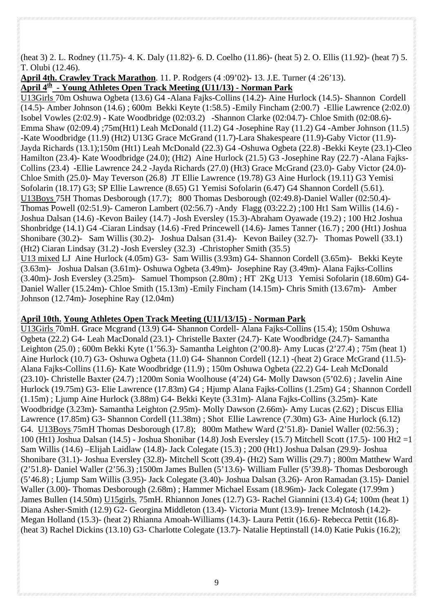(heat 3) 2. L. Rodney (11.75)- 4. K. Daly (11.82)- 6. D. Coelho (11.86)- (heat 5) 2. O. Ellis (11.92)- (heat 7) 5. T. Olubi (12.46).

**April 4th. Crawley Track Marathon**. 11. P. Rodgers (4 :09'02)- 13. J.E. Turner (4 :26'13). **April 4th - Young Athletes Open Track Meeting (U11/13) - Norman Park**

U13Girls 70m Oshuwa Ogbeta (13.6) G4 -Alana Fajks-Collins (14.2)- Aine Hurlock (14.5)- Shannon Cordell (14.5)- Amber Johnson (14.6) ; 600m Bekki Keyte (1:58.5) -Emily Fincham (2:00.7) -Ellie Lawrence (2:02.0) Isobel Vowles (2:02.9) - Kate Woodbridge (02:03.2) -Shannon Clarke (02:04.7)- Chloe Smith (02:08.6)- Emma Shaw (02:09.4) ;75m(Ht1) Leah McDonald (11.2) G4 -Josephine Ray (11.2) G4 -Amber Johnson (11.5) -Kate Woodbridge (11.9) (Ht2) U13G Grace McGrand (11.7)-Lara Shakespeare (11.9)-Gaby Victor (11.9)- Jayda Richards (13.1);150m (Ht1) Leah McDonald (22.3) G4 -Oshuwa Ogbeta (22.8) -Bekki Keyte (23.1)-Cleo Hamilton (23.4)- Kate Woodbridge (24.0); (Ht2) Aine Hurlock (21.5) G3 -Josephine Ray (22.7) -Alana Fajks-Collins (23.4) -Ellie Lawrence 24.2 -Jayda Richards (27.0) (Ht3) Grace McGrand (23.0)- Gaby Victor (24.0)- Chloe Smith (25.0)- May Teverson (26.8) JT Ellie Lawrence (19.78) G3 Aine Hurlock (19.11) G3 Yemisi Sofolarin (18.17) G3; SP Ellie Lawrence (8.65) G1 Yemisi Sofolarin (6.47) G4 Shannon Cordell (5.61). U13Boys 75H Thomas Desborough (17.7); 800 Thomas Desborough (02:49.8)-Daniel Waller (02:50.4)- Thomas Powell (02:51.9)- Cameron Lambert (02:56.7) -Andy Flagg (03:22.2) ;100 Ht1 Sam Willis (14.6) - Joshua Dalsan (14.6) -Kevon Bailey (14.7) -Josh Eversley (15.3)-Abraham Oyawade (19.2) ; 100 Ht2 Joshua Shonbridge (14.1) G4 -Ciaran Lindsay (14.6) -Fred Princewell (14.6)- James Tanner (16.7) ; 200 (Ht1) Joshua Shonibare (30.2)- Sam Willis (30.2)- Joshua Dalsan (31.4)- Kevon Bailey (32.7)- Thomas Powell (33.1) (Ht2) Ciaran Lindsay (31.2) -Josh Eversley (32.3) -Christopher Smith (35.5) U13 mixed LJ Aine Hurlock (4.05m) G3- Sam Willis (3.93m) G4- Shannon Cordell (3.65m)- Bekki Keyte (3.63m)- Joshua Dalsan (3.61m)- Oshuwa Ogbeta (3.49m)- Josephine Ray (3.49m)- Alana Fajks-Collins

(3.40m)- Josh Eversley (3.25m)- Samuel Thompson (2.80m) ; HT 2Kg U13 Yemisi Sofolarin (18.60m) G4- Daniel Waller (15.24m)- Chloe Smith (15.13m) -Emily Fincham (14.15m)- Chris Smith (13.67m)- Amber Johnson (12.74m)- Josephine Ray (12.04m)

#### **April 10th. Young Athletes Open Track Meeting (U11/13/15) - Norman Park**

U13Girls 70mH. Grace Mcgrand (13.9) G4- Shannon Cordell- Alana Fajks-Collins (15.4); 150m Oshuwa Ogbeta (22.2) G4- Leah MacDonald (23.1)- Christelle Baxter (24.7)- Kate Woodbridge (24.7)- Samantha Leighton (25.0) ; 600m Bekki Kyte (1'56.3)- Samantha Leighton (2'00.8)- Amy Lucas (2'27.4) ; 75m (heat 1) Aine Hurlock (10.7) G3- Oshuwa Ogbeta (11.0) G4- Shannon Cordell (12.1) -(heat 2) Grace McGrand (11.5)- Alana Fajks-Collins (11.6)- Kate Woodbridge (11.9) ; 150m Oshuwa Ogbeta (22.2) G4- Leah McDonald (23.10)- Christelle Baxter (24.7) ;1200m Sonia Woolhouse (4'24) G4- Molly Dawson (5'02.6) ; Javelin Aine Hurlock (19.75m) G3- Elie Lawrence (17.83m) G4 ; Hjump Alana Fajks-Collins (1.25m) G4 ; Shannon Cordell (1.15m) ; Ljump Aine Hurlock (3.88m) G4- Bekki Keyte (3.31m)- Alana Fajks-Collins (3.25m)- Kate Woodbridge (3.23m)- Samantha Leighton (2.95m)- Molly Dawson (2.66m)- Amy Lucas (2.62) ; Discus Ellia Lawrence (17.85m) G3- Shannon Cordell (11.38m) ; Shot Ellie Lawrence (7.30m) G3- Aine Hurlock (6.12) G4. U13Boys 75mH Thomas Desborough (17.8); 800m Mathew Ward (2'51.8)- Daniel Waller (02:56.3) ; 100 (Ht1) Joshua Dalsan (14.5) - Joshua Shonibar (14.8) Josh Eversley (15.7) Mitchell Scott (17.5)- 100 Ht2 =1 Sam Willis (14.6) –Elijah Laidlaw (14.8)- Jack Colegate (15.3) ; 200 (Ht1) Joshua Dalsan (29.9)- Joshua Shonibare (31.1)- Joshua Eversley (32.8)- Mitchell Scott (39.4)- (Ht2) Sam Willis (29.7) ; 800m Matthew Ward (2'51.8)- Daniel Waller (2'56.3) ;1500m James Bullen (5'13.6)- William Fuller (5'39.8)- Thomas Desborough (5'46.8) ; Ljump Sam Willis (3.95)- Jack Colegate (3.40)- Joshua Dalsan (3.26)- Aron Ramadan (3.15)- Daniel Waller (3.00)- Thomas Desborough (2.68m) ; Hammer Michael Essam (18.96m)- Jack Colegate (17.99m ) James Bullen (14.50m) U15girls. 75mH. Rhiannon Jones (12.7) G3- Rachel Giannini (13.4) G4; 100m (heat 1) Diana Asher-Smith (12.9) G2- Georgina Middleton (13.4)- Victoria Munt (13.9)- Irenee McIntosh (14.2)- Megan Holland (15.3)- (heat 2) Rhianna Amoah-Williams (14.3)- Laura Pettit (16.6)- Rebecca Pettit (16.8)- (heat 3) Rachel Dickins (13.10) G3- Charlotte Colegate (13.7)- Natalie Heptinstall (14.0) Katie Pukis (16.2);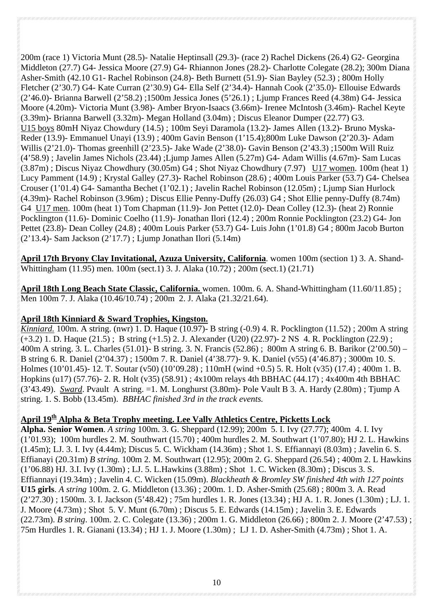200m (race 1) Victoria Munt (28.5)- Natalie Heptinsall (29.3)- (race 2) Rachel Dickens (26.4) G2- Georgina Middleton (27.7) G4- Jessica Moore (27.9) G4- Rhiannon Jones (28.2)- Charlotte Colegate (28.2); 300m Diana Asher-Smith (42.10 G1- Rachel Robinson (24.8)- Beth Burnett (51.9)- Sian Bayley (52.3) ; 800m Holly Fletcher (2'30.7) G4- Kate Curran (2'30.9) G4- Ella Self (2'34.4)- Hannah Cook (2'35.0)- Ellouise Edwards (2'46.0)- Brianna Barwell (2'58.2) ;1500m Jessica Jones (5'26.1) ; Ljump Frances Reed (4.38m) G4- Jessica Moore (4.20m)- Victoria Munt (3.98)- Amber Bryon-Isaacs (3.66m)- Irenee McIntosh (3.46m)- Rachel Keyte (3.39m)- Brianna Barwell (3.32m)- Megan Holland (3.04m) ; Discus Eleanor Dumper (22.77) G3. U15 boys 80mH Niyaz Chowdury (14.5) ; 100m Seyi Daramola (13.2)- James Allen (13.2)- Bruno Myska-Reder (13.9)- Emmanuel Unayi (13.9) ; 400m Gavin Benson (1'15.4);800m Luke Dawson (2'20.3)- Adam Willis (2'21.0)- Thomas greenhill (2'23.5)- Jake Wade (2'38.0)- Gavin Benson (2'43.3) ;1500m Will Ruiz (4'58.9) ; Javelin James Nichols (23.44) ;Ljump James Allen (5.27m) G4- Adam Willis (4.67m)- Sam Lucas (3.87m) ; Discus Niyaz Chowdhury (30.05m) G4 ; Shot Niyaz Chowdhury (7.97) U17 women. 100m (heat 1) Lucy Pamment (14.9) ; Krystal Galley (27.3)- Rachel Robinson (28.6) ; 400m Louis Parker (53.7) G4- Chelsea Crouser (1'01.4) G4- Samantha Bechet (1'02.1) ; Javelin Rachel Robinson (12.05m) ; Ljump Sian Hurlock (4.39m)- Rachel Robinson (3.96m) ; Discus Ellie Penny-Duffy (26.03) G4 ; Shot Ellie penny-Duffy (8.74m) G4 U17 men. 100m (heat 1) Tom Chapman (11.9)- Jon Pettet (12.0)- Dean Colley (12.3)- (heat 2) Ronnie Pocklington (11.6)- Dominic Coelho (11.9)- Jonathan Ilori (12.4) ; 200m Ronnie Pocklington (23.2) G4- Jon Pettet (23.8)- Dean Colley (24.8) ; 400m Louis Parker (53.7) G4- Luis John (1'01.8) G4 ; 800m Jacob Burton (2'13.4)- Sam Jackson (2'17.7) ; Ljump Jonathan Ilori (5.14m)

**April 17th Bryony Clay Invitational, Azuza University, California**. women 100m (section 1) 3. A. Shand-Whittingham (11.95) men. 100m (sect.1) 3. J. Alaka (10.72) ; 200m (sect.1) (21.71)

**April 18th Long Beach State Classic, California.** women. 100m. 6. A. Shand-Whittingham (11.60/11.85) ; Men 100m 7. J. Alaka (10.46/10.74) ; 200m 2. J. Alaka (21.32/21.64).

## **April 18th Kinniard & Sward Trophies, Kingston.**

*Kinniard.* 100m. A string. (nwr) 1. D. Haque (10.97)- B string (-0.9) 4. R. Pocklington (11.52) ; 200m A string  $(+3.2)$  1. D. Haque (21.5); B string  $(+1.5)$  2. J. Alexander (U20) (22.97)- 2 NS 4. R. Pocklington (22.9); 400m A string. 3. L. Charles (51.01)- B string. 3. N. Francis (52.86) ; 800m A string 6. B. Barikor (2'00.50) – B string 6. R. Daniel (2'04.37) ; 1500m 7. R. Daniel (4'38.77)- 9. K. Daniel (v55) (4'46.87) ; 3000m 10. S. Holmes (10'01.45)- 12. T. Soutar (v50) (10'09.28) ; 110mH (wind +0.5) 5. R. Holt (v35) (17.4) ; 400m 1. B. Hopkins (u17) (57.76)- 2. R. Holt (v35) (58.91) ; 4x100m relays 4th BBHAC (44.17) ; 4x400m 4th BBHAC (3'43.49). *Sward*. Pvault A string. =1. M. Longhurst (3.80m)- Pole Vault B 3. A. Hardy (2.80m) ; Tjump A string. 1. S. Bobb (13.45m). *BBHAC finished 3rd in the track events.* 

## **April 19th Alpha & Beta Trophy meeting. Lee Vally Athletics Centre, Picketts Lock**

**Alpha. Senior Women**. *A string* 100m. 3. G. Sheppard (12.99); 200m 5. I. Ivy (27.77); 400m 4. I. Ivy (1'01.93); 100m hurdles 2. M. Southwart (15.70) ; 400m hurdles 2. M. Southwart (1'07.80); HJ 2. L. Hawkins (1.45m); LJ. 3. I. Ivy (4.44m); Discus 5. C. Wickham (14.36m) ; Shot 1. S. Effiannayi (8.03m) ; Javelin 6. S. Effianayi (20.31m) *B string.* 100m 2. M. Southwart (12.95); 200m 2. G. Sheppard (26.54) ; 400m 2. L Hawkins (1'06.88) HJ. 3.I. Ivy (1.30m) ; LJ. 5. L.Hawkins (3.88m) ; Shot 1. C. Wicken (8.30m) ; Discus 3. S. Effiannayi (19.34m) ; Javelin 4. C. Wicken (15.09m). *Blackheath & Bromley SW finished 4th with 127 points*  **U15 girls**. *A string* 100m. 2. G. Middleton (13.36) ; 200m. 1. D. Asher-Smith (25.68) ; 800m 3. A. Read (2'27.30) ; 1500m. 3. I. Jackson (5'48.42) ; 75m hurdles 1. R. Jones (13.34) ; HJ A. 1. R. Jones (1.30m) ; LJ. 1. J. Moore (4.73m) ; Shot 5. V. Munt (6.70m) ; Discus 5. E. Edwards (14.15m) ; Javelin 3. E. Edwards (22.73m). *B string*. 100m. 2. C. Colegate (13.36) ; 200m 1. G. Middleton (26.66) ; 800m 2. J. Moore (2'47.53) ; 75m Hurdles 1. R. Gianani (13.34) ; HJ 1. J. Moore (1.30m) ; LJ 1. D. Asher-Smith (4.73m) ; Shot 1. A.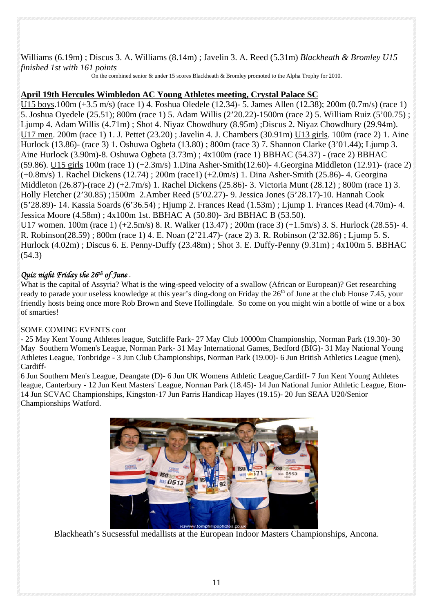#### Williams (6.19m) ; Discus 3. A. Williams (8.14m) ; Javelin 3. A. Reed (5.31m) *Blackheath & Bromley U15 finished 1st with 161 points*

On the combined senior & under 15 scores Blackheath & Bromley promoted to the Alpha Trophy for 2010.

#### **April 19th Hercules Wimbledon AC Young Athletes meeting, Crystal Palace SC**

U15 boys.100m (+3.5 m/s) (race 1) 4. Foshua Oledele (12.34)- 5. James Allen (12.38); 200m (0.7m/s) (race 1) 5. Joshua Oyedele (25.51); 800m (race 1) 5. Adam Willis (2'20.22)-1500m (race 2) 5. William Ruiz (5'00.75) ; Ljump 4. Adam Willis (4.71m) ; Shot 4. Niyaz Chowdhury (8.95m) ;Discus 2. Niyaz Chowdhury (29.94m). U17 men. 200m (race 1) 1. J. Pettet (23.20) ; Javelin 4. J. Chambers (30.91m) U13 girls. 100m (race 2) 1. Aine Hurlock (13.86)- (race 3) 1. Oshuwa Ogbeta (13.80) ; 800m (race 3) 7. Shannon Clarke (3'01.44); Ljump 3. Aine Hurlock (3.90m)-8. Oshuwa Ogbeta (3.73m) ; 4x100m (race 1) BBHAC (54.37) - (race 2) BBHAC (59.86). U15 girls 100m (race 1) (+2.3m/s) 1.Dina Asher-Smith(12.60)- 4.Georgina Middleton (12.91)- (race 2) (+0.8m/s) 1. Rachel Dickens (12.74) ; 200m (race1) (+2.0m/s) 1. Dina Asher-Smith (25.86)- 4. Georgina Middleton (26.87)-(race 2) (+2.7m/s) 1. Rachel Dickens (25.86)- 3. Victoria Munt (28.12) ; 800m (race 1) 3. Holly Fletcher (2'30.85) ;1500m 2.Amber Reed (5'02.27)- 9. Jessica Jones (5'28.17)-10. Hannah Cook (5'28.89)- 14. Kassia Soards (6'36.54) ; Hjump 2. Frances Read (1.53m) ; Ljump 1. Frances Read (4.70m)- 4. Jessica Moore (4.58m) ; 4x100m 1st. BBHAC A (50.80)- 3rd BBHAC B (53.50). U17 women. 100m (race 1) (+2.5m/s) 8. R. Walker (13.47) ; 200m (race 3) (+1.5m/s) 3. S. Hurlock (28.55)- 4. R. Robinson(28.59) ; 800m (race 1) 4. E. Noan (2'21.47)- (race 2) 3. R. Robinson (2'32.86) ; Ljump 5. S. Hurlock (4.02m) ; Discus 6. E. Penny-Duffy (23.48m) ; Shot 3. E. Duffy-Penny (9.31m) ; 4x100m 5. BBHAC (54.3)

### *Quiz night Friday the 26th of June .*

What is the capital of Assyria? What is the wing-speed velocity of a swallow (African or European)? Get researching ready to parade your useless knowledge at this year's ding-dong on Friday the 26<sup>th</sup> of June at the club House 7.45, your friendly hosts being once more Rob Brown and Steve Hollingdale. So come on you might win a bottle of wine or a box of smarties!

#### SOME COMING EVENTS cont

- 25 May Kent Young Athletes league, Sutcliffe Park- 27 May Club 10000m Championship, Norman Park (19.30)- 30 May Southern Women's League, Norman Park- 31 May International Games, Bedford (BIG)- 31 May National Young Athletes League, Tonbridge - 3 Jun Club Championships, Norman Park (19.00)- 6 Jun British Athletics League (men), Cardiff-

6 Jun Southern Men's League, Deangate (D)- 6 Jun UK Womens Athletic League,Cardiff- 7 Jun Kent Young Athletes league, Canterbury - 12 Jun Kent Masters' League, Norman Park (18.45)- 14 Jun National Junior Athletic League, Eton-14 Jun SCVAC Championships, Kingston-17 Jun Parris Handicap Hayes (19.15)- 20 Jun SEAA U20/Senior Championships Watford.



Blackheath's Sucsessful medallists at the European Indoor Masters Championships, Ancona.